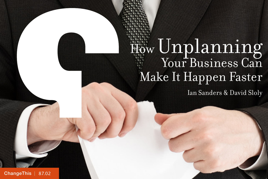## How Unplanning Your Business Can Make It Happen Faster

Ian Sanders & David Sloly

[ChangeThis](http://changethis.com) | 87.02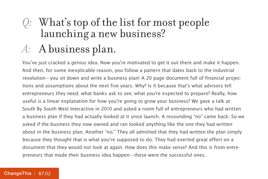# *Q:* What's top of the list for most people launching a new business? *A:* A business plan.

You've just cracked a genius idea. Now you're motivated to get it out there and make it happen. And then, for some inexplicable reason, you follow a pattern that dates back to the industrial revolution—you sit down and write a business plan! A 20 page document full of financial projections and assumptions about the next five years. Why? Is it because that's what advisors tell entrepreneurs they need; what banks ask to see; what you're expected to prepare? Really, how useful is a linear explanation for how you're going to grow your business? We gave a talk at South By South West Interactive in 2010 and asked a room full of entrepreneurs who had written a business plan if they had actually looked at it since launch. A resounding "no" came back. So we asked if the business they now owned and ran looked anything like the one they had written about in the business plan. Another "no." They all admitted that they had written the plan simply because they thought that is what you're supposed to do. They had exerted great effort on a document that they would not look at again. How does this make sense? And this is from entrepreneurs that made their business idea happen—these were the successful ones.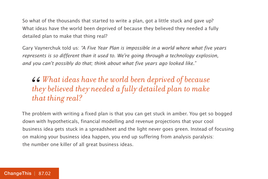So what of the thousands that started to write a plan, got a little stuck and gave up? What ideas have the world been deprived of because they believed they needed a fully detailed plan to make that thing real?

Gary Vaynerchuk told us: "A Five Year Plan is impossible in a world where what five years represents is so different than it used to. We're going through a technology explosion, and you can't possibly do that; think about what five years ago looked like."

#### **66** What ideas have the world been deprived of because they believed they needed a fully detailed plan to make that thing real? *they believed they needed a fully detailed plan to make that thing real?*

The problem with writing a fixed plan is that you can get stuck in amber. You get so bogged down with hypotheticals, financial modelling and revenue projections that your cool business idea gets stuck in a spreadsheet and the light never goes green. Instead of focusing on making your business idea happen, you end up suffering from analysis paralysis: the number one killer of all great business ideas.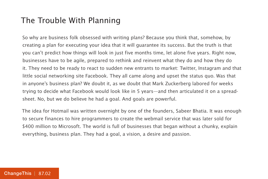#### The Trouble With Planning

So why are business folk obsessed with writing plans? Because you think that, somehow, by creating a plan for executing your idea that it will guarantee its success. But the truth is that you can't predict how things will look in just five months time, let alone five years. Right now, businesses have to be agile, prepared to rethink and reinvent what they do and how they do it. They need to be ready to react to sudden new entrants to market: Twitter, Instagram and that little social networking site Facebook. They all came along and upset the status quo. Was that in anyone's business plan? We doubt it, as we doubt that Mark Zuckerberg labored for weeks trying to decide what Facebook would look like in 5 years—and then articulated it on a spreadsheet. No, but we do believe he had a goal. And goals are powerful.

The idea for Hotmail was written overnight by one of the founders, Sabeer Bhatia. It was enough to secure finances to hire programmers to create the webmail service that was later sold for \$400 million to Microsoft. The world is full of businesses that began without a chunky, explain everything, business plan. They had a goal, a vision, a desire and passion.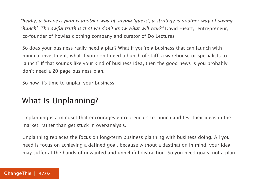"Really, a business plan is another way of saying 'guess', a strategy is another way of saying 'hunch'. The awful truth is that we don't know what will work" David Hieatt, entrepreneur, co-founder of howies clothing company and curator of Do Lectures

So does your business really need a plan? What if you're a business that can launch with minimal investment, what if you don't need a bunch of staff, a warehouse or specialists to launch? If that sounds like your kind of business idea, then the good news is you probably don't need a 20 page business plan.

So now it's time to unplan your business.

#### What Is Unplanning?

Unplanning is a mindset that encourages entrepreneurs to launch and test their ideas in the market, rather than get stuck in over-analysis.

Unplanning replaces the focus on long-term business planning with business doing. All you need is focus on achieving a defined goal, because without a destination in mind, your idea may suffer at the hands of unwanted and unhelpful distraction. So you need goals, not a plan.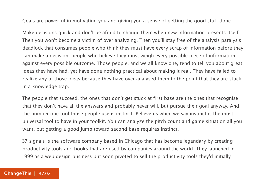Goals are powerful in motivating you and giving you a sense of getting the good stuff done.

Make decisions quick and don't be afraid to change them when new information presents itself. Then you won't become a victim of over analyzing. Then you'll stay free of the analysis paralysis deadlock that consumes people who think they must have every scrap of information before they can make a decision, people who believe they must weigh every possible piece of information against every possible outcome. Those people, and we all know one, tend to tell you about great ideas they have had, yet have done nothing practical about making it real. They have failed to realize any of those ideas because they have over analysed them to the point that they are stuck in a knowledge trap.

The people that succeed, the ones that don't get stuck at first base are the ones that recognise that they don't have all the answers and probably never will, but pursue their goal anyway. And the number one tool those people use is instinct. Believe us when we say instinct is the most universal tool to have in your toolkit. You can analyze the pitch count and game situation all you want, but getting a good jump toward second base requires instinct.

37 signals is the software company based in Chicago that has become legendary by creating productivity tools and books that are used by companies around the world. They launched in 1999 as a web design business but soon pivoted to sell the productivity tools they'd initially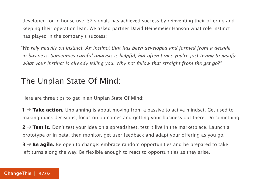developed for in-house use. 37 signals has achieved success by reinventing their offering and keeping their operation lean. We asked partner David Heinemeier Hanson what role instinct has played in the company's success:

"We rely heavily on instinct. An instinct that has been developed and formed from a decade in business. Sometimes careful analysis is helpful, but often times you're just trying to justify what your instinct is already telling you. Why not follow that straight from the get go?"

#### The Unplan State Of Mind:

Here are three tips to get in an Unplan State Of Mind:

**1** → **Take action.** Unplanning is about moving from a passive to active mindset. Get used to making quick decisions, focus on outcomes and getting your business out there. Do something!

**2** → **Test it.** Don't test your idea on a spreadsheet, test it live in the marketplace. Launch a prototype or in beta, then monitor, get user feedback and adapt your offering as you go.

**3** → **Be agile.** Be open to change: embrace random opportunities and be prepared to take left turns along the way. Be flexible enough to react to opportunities as they arise.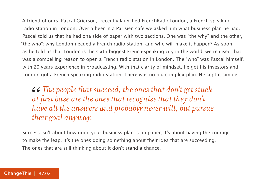A friend of ours, Pascal Grierson, recently launched FrenchRadioLondon, a French-speaking radio station in London. Over a beer in a Parisien cafe we asked him what business plan he had. Pascal told us that he had one side of paper with two sections. One was "the why" and the other, "the who": why London needed a French radio station, and who will make it happen? As soon as he told us that London is the sixth biggest French-speaking city in the world, we realised that was a compelling reason to open a French radio station in London. The "who" was Pascal himself, with 20 years experience in broadcasting. With that clarity of mindset, he got his investors and London got a French-speaking radio station. There was no big complex plan. He kept it simple.

*The people that succeed, the ones that don't get stuck at first base are the ones that recognise that they don't have all the answers and probably never will, but pursue their goal anyway.*  $\begin{array}{c} 66 \\ at \\ ha \end{array}$ 

Success isn't about how good your business plan is on paper, it's about having the courage to make the leap. It's the ones doing something about their idea that are succeeding. The ones that are still thinking about it don't stand a chance.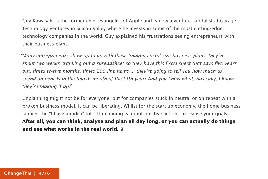Guy Kawasaki is the former chief evangelist of Apple and is now a venture capitalist at Garage Technology Ventures in Silicon Valley where he invests in some of the most cutting-edge technology companies in the world. Guy explained his frustrations seeing entrepreneurs with their business plans:

"Many entrepreneurs show up to us with these 'magna carta' size business plans; they've spent two weeks cranking out a spreadsheet so they have this Excel sheet that says five years out, times twelve months, times 200 line items ... they're going to tell you how much to spend on pencils in the fourth month of the fifth year! And you know what, basically, I know they're making it up."

Unplanning might not be for everyone, but for companies stuck in neutral or on repeat with a broken business model, it can be liberating. Whilst for the start-up economy, the home business launch, the "I have an idea" folk, Unplanning is about positive actions to realise your goals. **After all, you can think, analyse and plan all day long, or you can actually do things and see what works in the real world.**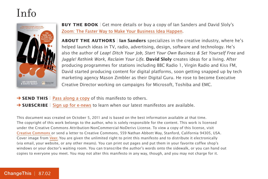### Info



**BUY THE BOOK** | Get more details or buy a copy of Ian Sanders and David Sloly's [Zoom: The Faster Way to Make Your Business Idea Happen.](http://800ceoread.com/book/show/9780273755678-Zoom_)

**ABOUT THE AUTHORS** | Ian Sanders specializes in the creative industry, where he's helped launch ideas in TV, radio, advertising, design, software and technology. He's also the author of Leap! Ditch Your Job, Start Your Own Business & Set Yourself Free and Juggle! Rethink Work, Reclaim Your Life. **David Sloly** creates ideas for a living. After producing programmes for stations including BBC Radio 1, Virgin Radio and Kiss FM, David started producing content for digital platforms, soon getting snapped up by tech marketing agency Mason Zimbler as their Digital Guru. He rose to become Executive Creative Director working on campaigns for Microsoft, Toshiba and EMC.

- → **SEND THIS** | [Pass along a copy](http://www.changethis.com/87.02.Unplanning/email) of this manifesto to others.
- **→ SUBSCRIBE** | Sign up fo[r e-news](http://changethis.com/page/show/e_mail_newsletter) to learn when our latest manifestos are available.

This document was created on October 5, 2011 and is based on the best information available at that time. The copyright of this work belongs to the author, who is solely responsible for the content. This work is licensed under the Creative Commons Attribution-NonCommercial-NoDerivs License. To view a copy of this license, visit [Creative Commons](http://creativecommons.org/licenses/by-nc-nd/2.0/) or send a letter to Creative Commons, 559 Nathan Abbott Way, Stanford, California 94305, USA. Cover image from [Veer.](http://www.veer.com/) You are given the unlimited right to print this manifesto and to distribute it electronically (via email, your website, or any other means). You can print out pages and put them in your favorite coffee shop's windows or your doctor's waiting room. You can transcribe the author's words onto the sidewalk, or you can hand out copies to everyone you meet. You may not alter this manifesto in any way, though, and you may not charge for it.